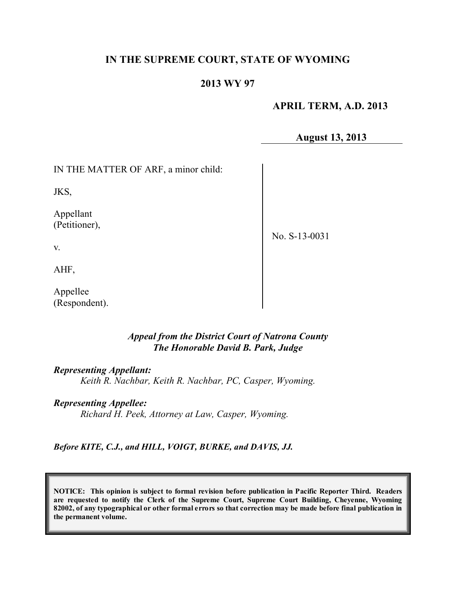## **IN THE SUPREME COURT, STATE OF WYOMING**

#### **2013 WY 97**

#### **APRIL TERM, A.D. 2013**

**August 13, 2013**

IN THE MATTER OF ARF, a minor child:

JKS,

Appellant (Petitioner),

No. S-13-0031

AHF,

v.

Appellee (Respondent).

#### *Appeal from the District Court of Natrona County The Honorable David B. Park, Judge*

#### *Representing Appellant:*

*Keith R. Nachbar, Keith R. Nachbar, PC, Casper, Wyoming.*

#### *Representing Appellee:*

*Richard H. Peek, Attorney at Law, Casper, Wyoming.*

*Before KITE, C.J., and HILL, VOIGT, BURKE, and DAVIS, JJ.*

**NOTICE: This opinion is subject to formal revision before publication in Pacific Reporter Third. Readers are requested to notify the Clerk of the Supreme Court, Supreme Court Building, Cheyenne, Wyoming** 82002, of any typographical or other formal errors so that correction may be made before final publication in **the permanent volume.**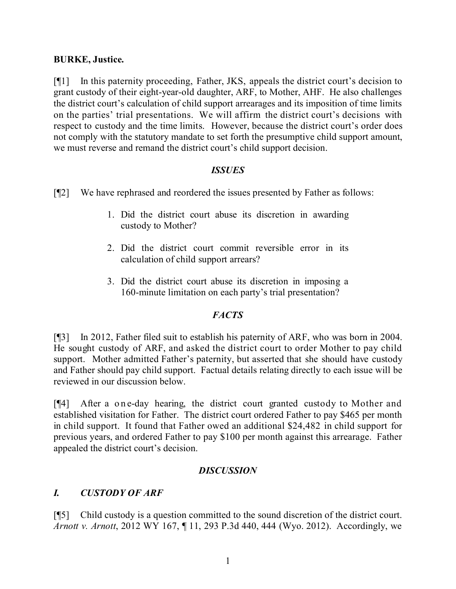### **BURKE, Justice.**

[¶1] In this paternity proceeding, Father, JKS, appeals the district court's decision to grant custody of their eight-year-old daughter, ARF, to Mother, AHF. He also challenges the district court's calculation of child support arrearages and its imposition of time limits on the parties' trial presentations. We will affirm the district court's decisions with respect to custody and the time limits. However, because the district court's order does not comply with the statutory mandate to set forth the presumptive child support amount, we must reverse and remand the district court's child support decision.

#### *ISSUES*

[¶2] We have rephrased and reordered the issues presented by Father as follows:

- 1. Did the district court abuse its discretion in awarding custody to Mother?
- 2. Did the district court commit reversible error in its calculation of child support arrears?
- 3. Did the district court abuse its discretion in imposing a 160-minute limitation on each party's trial presentation?

### *FACTS*

[¶3] In 2012, Father filed suit to establish his paternity of ARF, who was born in 2004. He sought custody of ARF, and asked the district court to order Mother to pay child support. Mother admitted Father's paternity, but asserted that she should have custody and Father should pay child support. Factual details relating directly to each issue will be reviewed in our discussion below.

[¶4] After a one-day hearing, the district court granted custody to Mother and established visitation for Father. The district court ordered Father to pay \$465 per month in child support. It found that Father owed an additional \$24,482 in child support for previous years, and ordered Father to pay \$100 per month against this arrearage. Father appealed the district court's decision.

### *DISCUSSION*

### *I. CUSTODY OF ARF*

[¶5] Child custody is a question committed to the sound discretion of the district court. *Arnott v. Arnott*, 2012 WY 167, ¶ 11, 293 P.3d 440, 444 (Wyo. 2012). Accordingly, we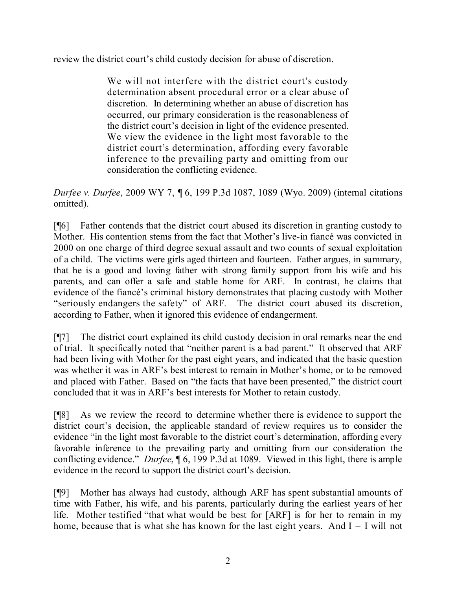review the district court's child custody decision for abuse of discretion.

We will not interfere with the district court's custody determination absent procedural error or a clear abuse of discretion. In determining whether an abuse of discretion has occurred, our primary consideration is the reasonableness of the district court's decision in light of the evidence presented. We view the evidence in the light most favorable to the district court's determination, affording every favorable inference to the prevailing party and omitting from our consideration the conflicting evidence.

*Durfee v. Durfee*, 2009 WY 7, ¶ 6, 199 P.3d 1087, 1089 (Wyo. 2009) (internal citations omitted).

[¶6] Father contends that the district court abused its discretion in granting custody to Mother. His contention stems from the fact that Mother's live-in fiancé was convicted in 2000 on one charge of third degree sexual assault and two counts of sexual exploitation of a child. The victims were girls aged thirteen and fourteen. Father argues, in summary, that he is a good and loving father with strong family support from his wife and his parents, and can offer a safe and stable home for ARF. In contrast, he claims that evidence of the fiancé's criminal history demonstrates that placing custody with Mother "seriously endangers the safety" of ARF. The district court abused its discretion, according to Father, when it ignored this evidence of endangerment.

[¶7] The district court explained its child custody decision in oral remarks near the end of trial. It specifically noted that "neither parent is a bad parent." It observed that ARF had been living with Mother for the past eight years, and indicated that the basic question was whether it was in ARF's best interest to remain in Mother's home, or to be removed and placed with Father. Based on "the facts that have been presented," the district court concluded that it was in ARF's best interests for Mother to retain custody.

[¶8] As we review the record to determine whether there is evidence to support the district court's decision, the applicable standard of review requires us to consider the evidence "in the light most favorable to the district court's determination, affording every favorable inference to the prevailing party and omitting from our consideration the conflicting evidence." *Durfee*, ¶ 6, 199 P.3d at 1089. Viewed in this light, there is ample evidence in the record to support the district court's decision.

[¶9] Mother has always had custody, although ARF has spent substantial amounts of time with Father, his wife, and his parents, particularly during the earliest years of her life. Mother testified "that what would be best for [ARF] is for her to remain in my home, because that is what she has known for the last eight years. And  $I - I$  will not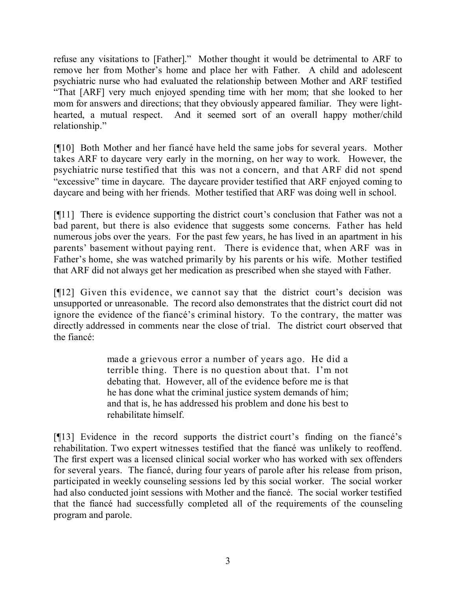refuse any visitations to [Father]." Mother thought it would be detrimental to ARF to remove her from Mother's home and place her with Father. A child and adolescent psychiatric nurse who had evaluated the relationship between Mother and ARF testified "That [ARF] very much enjoyed spending time with her mom; that she looked to her mom for answers and directions; that they obviously appeared familiar. They were lighthearted, a mutual respect. And it seemed sort of an overall happy mother/child relationship."

[¶10] Both Mother and her fiancé have held the same jobs for several years. Mother takes ARF to daycare very early in the morning, on her way to work. However, the psychiatric nurse testified that this was not a concern, and that ARF did not spend "excessive" time in daycare. The daycare provider testified that ARF enjoyed coming to daycare and being with her friends. Mother testified that ARF was doing well in school.

[¶11] There is evidence supporting the district court's conclusion that Father was not a bad parent, but there is also evidence that suggests some concerns. Father has held numerous jobs over the years. For the past few years, he has lived in an apartment in his parents' basement without paying rent. There is evidence that, when ARF was in Father's home, she was watched primarily by his parents or his wife. Mother testified that ARF did not always get her medication as prescribed when she stayed with Father.

[¶12] Given this evidence, we cannot say that the district court's decision was unsupported or unreasonable. The record also demonstrates that the district court did not ignore the evidence of the fiancé's criminal history. To the contrary, the matter was directly addressed in comments near the close of trial. The district court observed that the fiancé:

> made a grievous error a number of years ago. He did a terrible thing. There is no question about that. I'm not debating that. However, all of the evidence before me is that he has done what the criminal justice system demands of him; and that is, he has addressed his problem and done his best to rehabilitate himself.

[¶13] Evidence in the record supports the district court's finding on the fiancé's rehabilitation. Two expert witnesses testified that the fiancé was unlikely to reoffend. The first expert was a licensed clinical social worker who has worked with sex offenders for several years. The fiancé, during four years of parole after his release from prison, participated in weekly counseling sessions led by this social worker. The social worker had also conducted joint sessions with Mother and the fiancé. The social worker testified that the fiancé had successfully completed all of the requirements of the counseling program and parole.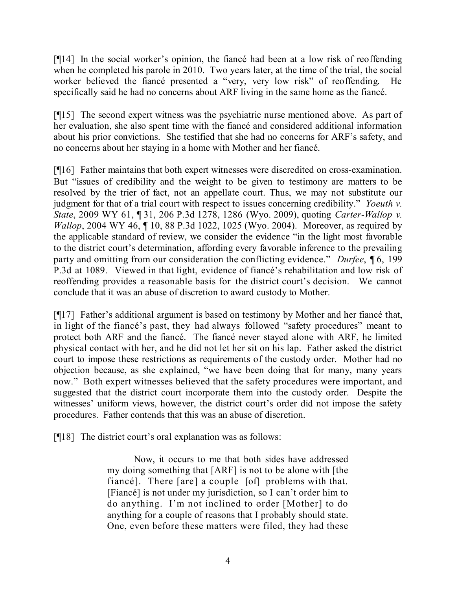[¶14] In the social worker's opinion, the fiancé had been at a low risk of reoffending when he completed his parole in 2010. Two years later, at the time of the trial, the social worker believed the fiancé presented a "very, very low risk" of reoffending. He specifically said he had no concerns about ARF living in the same home as the fiancé.

[¶15] The second expert witness was the psychiatric nurse mentioned above. As part of her evaluation, she also spent time with the fiancé and considered additional information about his prior convictions. She testified that she had no concerns for ARF's safety, and no concerns about her staying in a home with Mother and her fiancé.

[¶16] Father maintains that both expert witnesses were discredited on cross-examination. But "issues of credibility and the weight to be given to testimony are matters to be resolved by the trier of fact, not an appellate court. Thus, we may not substitute our judgment for that of a trial court with respect to issues concerning credibility." *Yoeuth v. State*, 2009 WY 61, ¶ 31, 206 P.3d 1278, 1286 (Wyo. 2009), quoting *Carter-Wallop v. Wallop*, 2004 WY 46,  $\P$  10, 88 P.3d 1022, 1025 (Wyo. 2004). Moreover, as required by the applicable standard of review, we consider the evidence "in the light most favorable to the district court's determination, affording every favorable inference to the prevailing party and omitting from our consideration the conflicting evidence." *Durfee*, ¶ 6, 199 P.3d at 1089. Viewed in that light, evidence of fiancé's rehabilitation and low risk of reoffending provides a reasonable basis for the district court's decision. We cannot conclude that it was an abuse of discretion to award custody to Mother.

[¶17] Father's additional argument is based on testimony by Mother and her fiance that, in light of the fiancé's past, they had always followed "safety procedures" meant to protect both ARF and the fiancé. The fiancé never stayed alone with ARF, he limited physical contact with her, and he did not let her sit on his lap. Father asked the district court to impose these restrictions as requirements of the custody order. Mother had no objection because, as she explained, "we have been doing that for many, many years now." Both expert witnesses believed that the safety procedures were important, and suggested that the district court incorporate them into the custody order. Despite the witnesses' uniform views, however, the district court's order did not impose the safety procedures. Father contends that this was an abuse of discretion.

[¶18] The district court's oral explanation was as follows:

Now, it occurs to me that both sides have addressed my doing something that [ARF] is not to be alone with [the fiancé]. There [are] a couple [of] problems with that. [Fiancé] is not under my jurisdiction, so I can't order him to do anything. I'm not inclined to order [Mother] to do anything for a couple of reasons that I probably should state. One, even before these matters were filed, they had these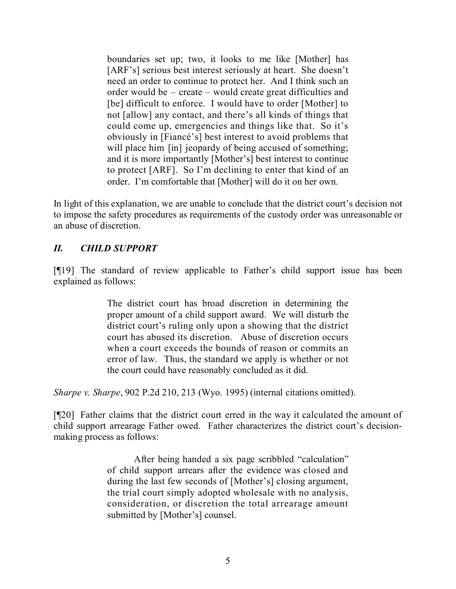boundaries set up; two, it looks to me like [Mother] has [ARF's] serious best interest seriously at heart. She doesn't need an order to continue to protect her. And I think such an order would be – create – would create great difficulties and [be] difficult to enforce. I would have to order [Mother] to not [allow] any contact, and there's all kinds of things that could come up, emergencies and things like that. So it's obviously in [Fiancé's] best interest to avoid problems that will place him [in] jeopardy of being accused of something; and it is more importantly [Mother's] best interest to continue to protect [ARF]. So I'm declining to enter that kind of an order. I'm comfortable that [Mother] will do it on her own.

In light of this explanation, we are unable to conclude that the district court's decision not to impose the safety procedures as requirements of the custody order was unreasonable or an abuse of discretion.

# *II. CHILD SUPPORT*

[¶19] The standard of review applicable to Father's child support issue has been explained as follows:

> The district court has broad discretion in determining the proper amount of a child support award. We will disturb the district court's ruling only upon a showing that the district court has abused its discretion. Abuse of discretion occurs when a court exceeds the bounds of reason or commits an error of law. Thus, the standard we apply is whether or not the court could have reasonably concluded as it did.

*Sharpe v. Sharpe*, 902 P.2d 210, 213 (Wyo. 1995) (internal citations omitted).

[¶20] Father claims that the district court erred in the way it calculated the amount of child support arrearage Father owed. Father characterizes the district court's decisionmaking process as follows:

> After being handed a six page scribbled "calculation" of child support arrears after the evidence was closed and during the last few seconds of [Mother's] closing argument, the trial court simply adopted wholesale with no analysis, consideration, or discretion the total arrearage amount submitted by [Mother's] counsel.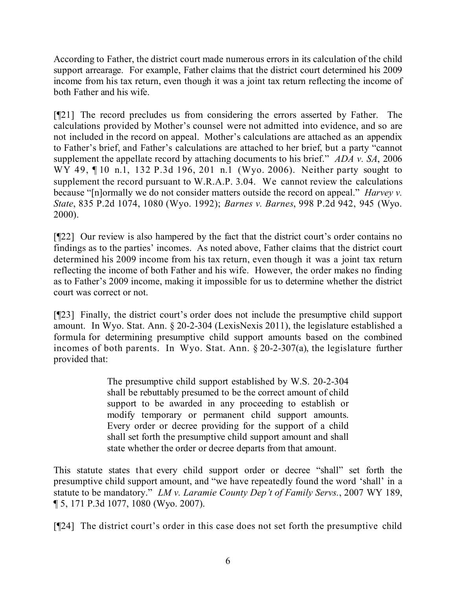According to Father, the district court made numerous errors in its calculation of the child support arrearage. For example, Father claims that the district court determined his 2009 income from his tax return, even though it was a joint tax return reflecting the income of both Father and his wife.

[¶21] The record precludes us from considering the errors asserted by Father. The calculations provided by Mother's counsel were not admitted into evidence, and so are not included in the record on appeal. Mother's calculations are attached as an appendix to Father's brief, and Father's calculations are attached to her brief, but a party "cannot supplement the appellate record by attaching documents to his brief." *ADA v. SA*, 2006 WY 49, ¶10 n.1, 132 P.3d 196, 201 n.1 (Wyo. 2006). Neither party sought to supplement the record pursuant to W.R.A.P. 3.04. We cannot review the calculations because "[n]ormally we do not consider matters outside the record on appeal." *Harvey v. State*, 835 P.2d 1074, 1080 (Wyo. 1992); *Barnes v. Barnes*, 998 P.2d 942, 945 (Wyo. 2000).

[¶22] Our review is also hampered by the fact that the district court's order contains no findings as to the parties' incomes. As noted above, Father claims that the district court determined his 2009 income from his tax return, even though it was a joint tax return reflecting the income of both Father and his wife. However, the order makes no finding as to Father's 2009 income, making it impossible for us to determine whether the district court was correct or not.

[¶23] Finally, the district court's order does not include the presumptive child support amount. In Wyo. Stat. Ann. § 20-2-304 (LexisNexis 2011), the legislature established a formula for determining presumptive child support amounts based on the combined incomes of both parents. In Wyo. Stat. Ann. § 20-2-307(a), the legislature further provided that:

> The presumptive child support established by W.S. 20-2-304 shall be rebuttably presumed to be the correct amount of child support to be awarded in any proceeding to establish or modify temporary or permanent child support amounts. Every order or decree providing for the support of a child shall set forth the presumptive child support amount and shall state whether the order or decree departs from that amount.

This statute states that every child support order or decree "shall" set forth the presumptive child support amount, and "we have repeatedly found the word 'shall' in a statute to be mandatory." *LM v. Laramie County Dep't of Family Servs.*, 2007 WY 189, ¶ 5, 171 P.3d 1077, 1080 (Wyo. 2007).

[¶24] The district court's order in this case does not set forth the presumptive child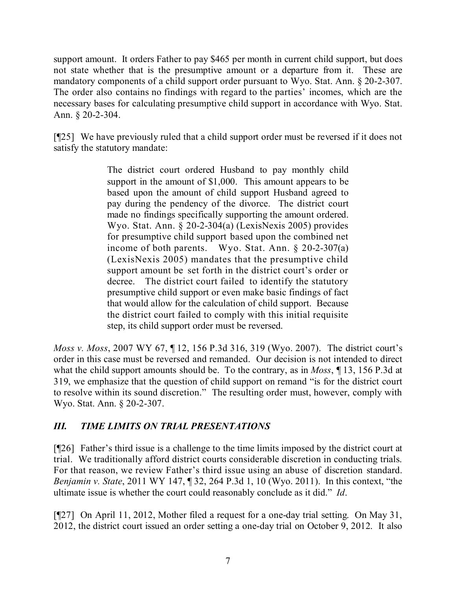support amount. It orders Father to pay \$465 per month in current child support, but does not state whether that is the presumptive amount or a departure from it. These are mandatory components of a child support order pursuant to Wyo. Stat. Ann. § 20-2-307. The order also contains no findings with regard to the parties' incomes, which are the necessary bases for calculating presumptive child support in accordance with Wyo. Stat. Ann. § 20-2-304.

[¶25] We have previously ruled that a child support order must be reversed if it does not satisfy the statutory mandate:

> The district court ordered Husband to pay monthly child support in the amount of \$1,000. This amount appears to be based upon the amount of child support Husband agreed to pay during the pendency of the divorce. The district court made no findings specifically supporting the amount ordered. Wyo. Stat. Ann. § 20-2-304(a) (LexisNexis 2005) provides for presumptive child support based upon the combined net income of both parents. Wyo. Stat. Ann. § 20-2-307(a) (LexisNexis 2005) mandates that the presumptive child support amount be set forth in the district court's order or decree. The district court failed to identify the statutory presumptive child support or even make basic findings of fact that would allow for the calculation of child support. Because the district court failed to comply with this initial requisite step, its child support order must be reversed.

*Moss v. Moss*, 2007 WY 67, ¶ 12, 156 P.3d 316, 319 (Wyo. 2007). The district court's order in this case must be reversed and remanded. Our decision is not intended to direct what the child support amounts should be. To the contrary, as in *Moss*, ¶ 13, 156 P.3d at 319, we emphasize that the question of child support on remand "is for the district court to resolve within its sound discretion." The resulting order must, however, comply with Wyo. Stat. Ann. § 20-2-307.

# *III. TIME LIMITS ON TRIAL PRESENTATIONS*

[¶26] Father's third issue is a challenge to the time limits imposed by the district court at trial. We traditionally afford district courts considerable discretion in conducting trials. For that reason, we review Father's third issue using an abuse of discretion standard. *Benjamin v. State*, 2011 WY 147, ¶ 32, 264 P.3d 1, 10 (Wyo. 2011). In this context, "the ultimate issue is whether the court could reasonably conclude as it did." *Id*.

[¶27] On April 11, 2012, Mother filed a request for a one-day trial setting. On May 31, 2012, the district court issued an order setting a one-day trial on October 9, 2012. It also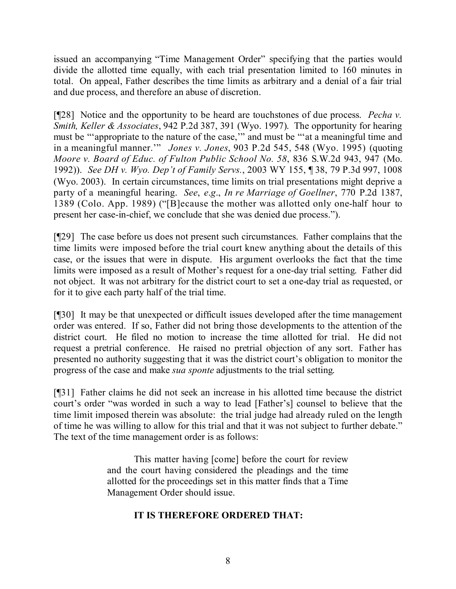issued an accompanying "Time Management Order" specifying that the parties would divide the allotted time equally, with each trial presentation limited to 160 minutes in total. On appeal, Father describes the time limits as arbitrary and a denial of a fair trial and due process, and therefore an abuse of discretion.

[¶28] Notice and the opportunity to be heard are touchstones of due process. *Pecha v. Smith, Keller & Associates*, 942 P.2d 387, 391 (Wyo. 1997). The opportunity for hearing must be "'appropriate to the nature of the case,'" and must be "'at a meaningful time and in a meaningful manner.'" *Jones v. Jones*, 903 P.2d 545, 548 (Wyo. 1995) (quoting *Moore v. Board of Educ. of Fulton Public School No. 58*, 836 S.W.2d 943, 947 (Mo. 1992)). *See DH v. Wyo. Dep't of Family Servs.*, 2003 WY 155, ¶ 38, 79 P.3d 997, 1008 (Wyo. 2003). In certain circumstances, time limits on trial presentations might deprive a party of a meaningful hearing. *See*, *e*.*g*., *In re Marriage of Goellner*, 770 P.2d 1387, 1389 (Colo. App. 1989) ("[B]ecause the mother was allotted only one-half hour to present her case-in-chief, we conclude that she was denied due process.").

[¶29] The case before us does not present such circumstances. Father complains that the time limits were imposed before the trial court knew anything about the details of this case, or the issues that were in dispute. His argument overlooks the fact that the time limits were imposed as a result of Mother's request for a one-day trial setting. Father did not object. It was not arbitrary for the district court to set a one-day trial as requested, or for it to give each party half of the trial time.

[¶30] It may be that unexpected or difficult issues developed after the time management order was entered. If so, Father did not bring those developments to the attention of the district court. He filed no motion to increase the time allotted for trial. He did not request a pretrial conference. He raised no pretrial objection of any sort. Father has presented no authority suggesting that it was the district court's obligation to monitor the progress of the case and make *sua sponte* adjustments to the trial setting.

[¶31] Father claims he did not seek an increase in his allotted time because the district court's order "was worded in such a way to lead [Father's] counsel to believe that the time limit imposed therein was absolute: the trial judge had already ruled on the length of time he was willing to allow for this trial and that it was not subject to further debate." The text of the time management order is as follows:

> This matter having [come] before the court for review and the court having considered the pleadings and the time allotted for the proceedings set in this matter finds that a Time Management Order should issue.

# **IT IS THEREFORE ORDERED THAT:**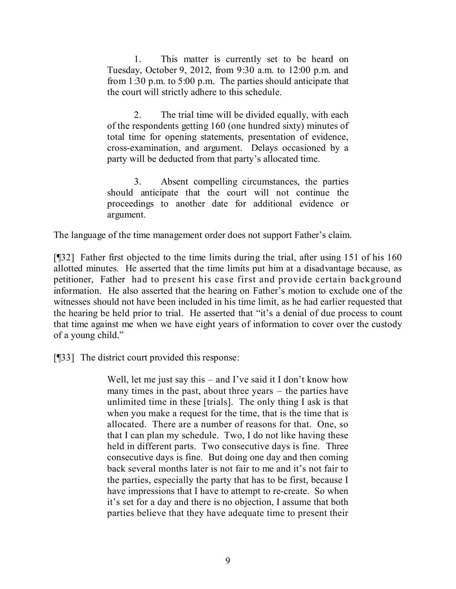1. This matter is currently set to be heard on Tuesday, October 9, 2012, from 9:30 a.m. to 12:00 p.m. and from 1:30 p.m. to 5:00 p.m. The parties should anticipate that the court will strictly adhere to this schedule.

2. The trial time will be divided equally, with each of the respondents getting 160 (one hundred sixty) minutes of total time for opening statements, presentation of evidence, cross-examination, and argument. Delays occasioned by a party will be deducted from that party's allocated time.

3. Absent compelling circumstances, the parties should anticipate that the court will not continue the proceedings to another date for additional evidence or argument.

The language of the time management order does not support Father's claim.

[¶32] Father first objected to the time limits during the trial, after using 151 of his 160 allotted minutes. He asserted that the time limits put him at a disadvantage because, as petitioner, Father had to present his case first and provide certain background information. He also asserted that the hearing on Father's motion to exclude one of the witnesses should not have been included in his time limit, as he had earlier requested that the hearing be held prior to trial. He asserted that "it's a denial of due process to count that time against me when we have eight years of information to cover over the custody of a young child."

[¶33] The district court provided this response:

Well, let me just say this – and I've said it I don't know how many times in the past, about three years – the parties have unlimited time in these [trials]. The only thing I ask is that when you make a request for the time, that is the time that is allocated. There are a number of reasons for that. One, so that I can plan my schedule. Two, I do not like having these held in different parts. Two consecutive days is fine. Three consecutive days is fine. But doing one day and then coming back several months later is not fair to me and it's not fair to the parties, especially the party that has to be first, because I have impressions that I have to attempt to re-create. So when it's set for a day and there is no objection, I assume that both parties believe that they have adequate time to present their